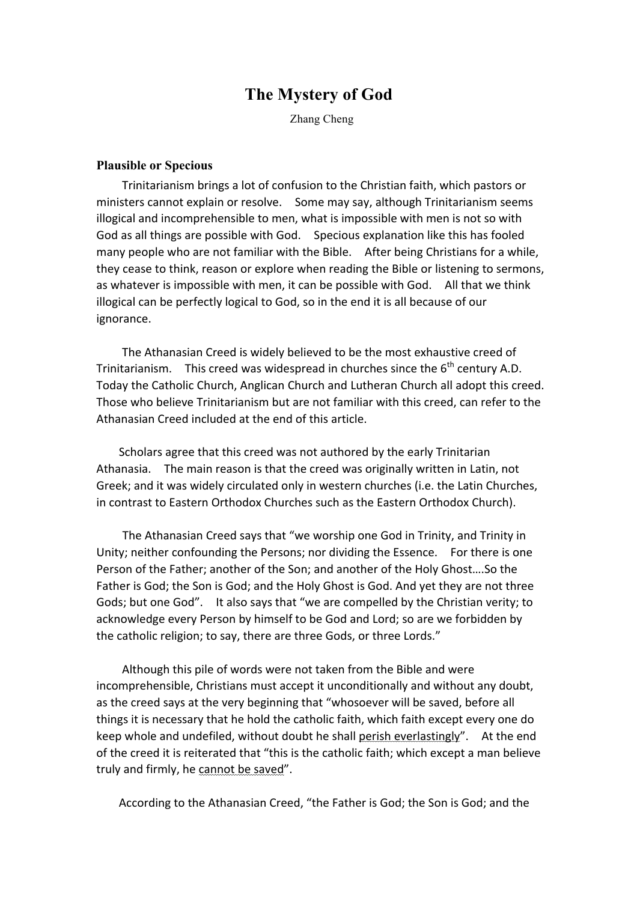## **The Mystery of God**

Zhang Cheng

## **Plausible or Specious**

Trinitarianism brings a lot of confusion to the Christian faith, which pastors or ministers cannot explain or resolve. Some may say, although Trinitarianism seems illogical and incomprehensible to men, what is impossible with men is not so with God as all things are possible with God. Specious explanation like this has fooled many people who are not familiar with the Bible. After being Christians for a while, they cease to think, reason or explore when reading the Bible or listening to sermons, as whatever is impossible with men, it can be possible with God. All that we think illogical can be perfectly logical to God, so in the end it is all because of our ignorance.

The Athanasian Creed is widely believed to be the most exhaustive creed of Trinitarianism. This creed was widespread in churches since the  $6<sup>th</sup>$  century A.D. Today the Catholic Church, Anglican Church and Lutheran Church all adopt this creed. Those who believe Trinitarianism but are not familiar with this creed, can refer to the Athanasian Creed included at the end of this article.

Scholars agree that this creed was not authored by the early Trinitarian Athanasia. The main reason is that the creed was originally written in Latin, not Greek; and it was widely circulated only in western churches (i.e. the Latin Churches, in contrast to Eastern Orthodox Churches such as the Eastern Orthodox Church).

The Athanasian Creed says that "we worship one God in Trinity, and Trinity in Unity; neither confounding the Persons; nor dividing the Essence. For there is one Person of the Father; another of the Son; and another of the Holy Ghost....So the Father is God; the Son is God; and the Holy Ghost is God. And yet they are not three Gods; but one God". It also says that "we are compelled by the Christian verity; to acknowledge every Person by himself to be God and Lord; so are we forbidden by the catholic religion; to say, there are three Gods, or three Lords."

Although this pile of words were not taken from the Bible and were incomprehensible, Christians must accept it unconditionally and without any doubt, as the creed says at the very beginning that "whosoever will be saved, before all things it is necessary that he hold the catholic faith, which faith except every one do keep whole and undefiled, without doubt he shall perish everlastingly". At the end of the creed it is reiterated that "this is the catholic faith; which except a man believe truly and firmly, he cannot be saved".

According to the Athanasian Creed, "the Father is God; the Son is God; and the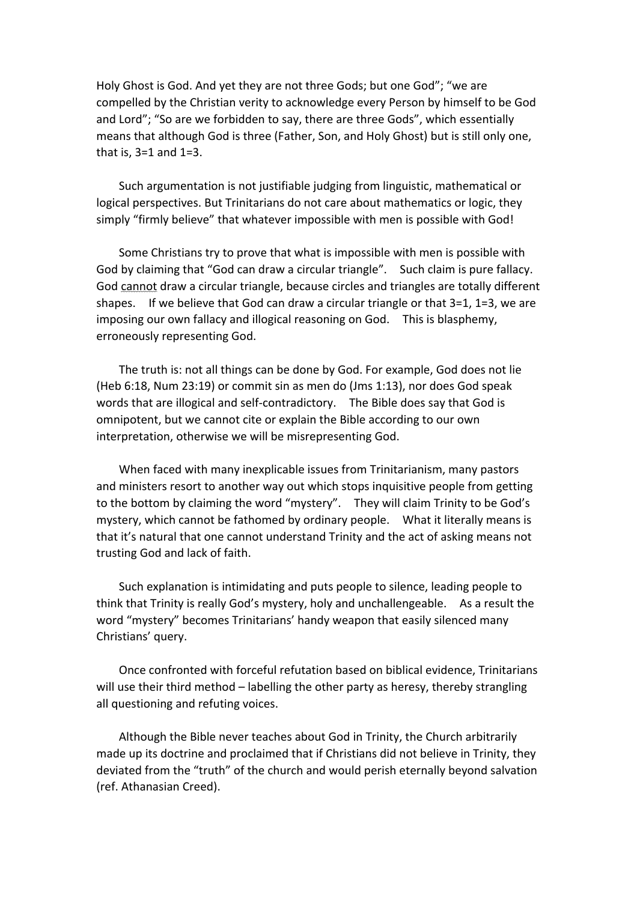Holy Ghost is God. And yet they are not three Gods; but one God"; "we are compelled by the Christian verity to acknowledge every Person by himself to be God and Lord"; "So are we forbidden to say, there are three Gods", which essentially means that although God is three (Father, Son, and Holy Ghost) but is still only one, that is,  $3=1$  and  $1=3$ .

Such argumentation is not justifiable judging from linguistic, mathematical or logical perspectives. But Trinitarians do not care about mathematics or logic, they simply "firmly believe" that whatever impossible with men is possible with God!

Some Christians try to prove that what is impossible with men is possible with God by claiming that "God can draw a circular triangle". Such claim is pure fallacy. God cannot draw a circular triangle, because circles and triangles are totally different shapes. If we believe that God can draw a circular triangle or that  $3=1$ ,  $1=3$ , we are imposing our own fallacy and illogical reasoning on God. This is blasphemy, erroneously representing God.

The truth is: not all things can be done by God. For example, God does not lie (Heb  $6:18$ , Num 23:19) or commit sin as men do (Jms 1:13), nor does God speak words that are illogical and self-contradictory. The Bible does say that God is omnipotent, but we cannot cite or explain the Bible according to our own interpretation, otherwise we will be misrepresenting God.

When faced with many inexplicable issues from Trinitarianism, many pastors and ministers resort to another way out which stops inquisitive people from getting to the bottom by claiming the word "mystery". They will claim Trinity to be God's mystery, which cannot be fathomed by ordinary people. What it literally means is that it's natural that one cannot understand Trinity and the act of asking means not trusting God and lack of faith.

Such explanation is intimidating and puts people to silence, leading people to think that Trinity is really God's mystery, holy and unchallengeable. As a result the word "mystery" becomes Trinitarians' handy weapon that easily silenced many Christians' query.

Once confronted with forceful refutation based on biblical evidence, Trinitarians will use their third method – labelling the other party as heresy, thereby strangling all questioning and refuting voices.

Although the Bible never teaches about God in Trinity, the Church arbitrarily made up its doctrine and proclaimed that if Christians did not believe in Trinity, they deviated from the "truth" of the church and would perish eternally beyond salvation (ref. Athanasian Creed).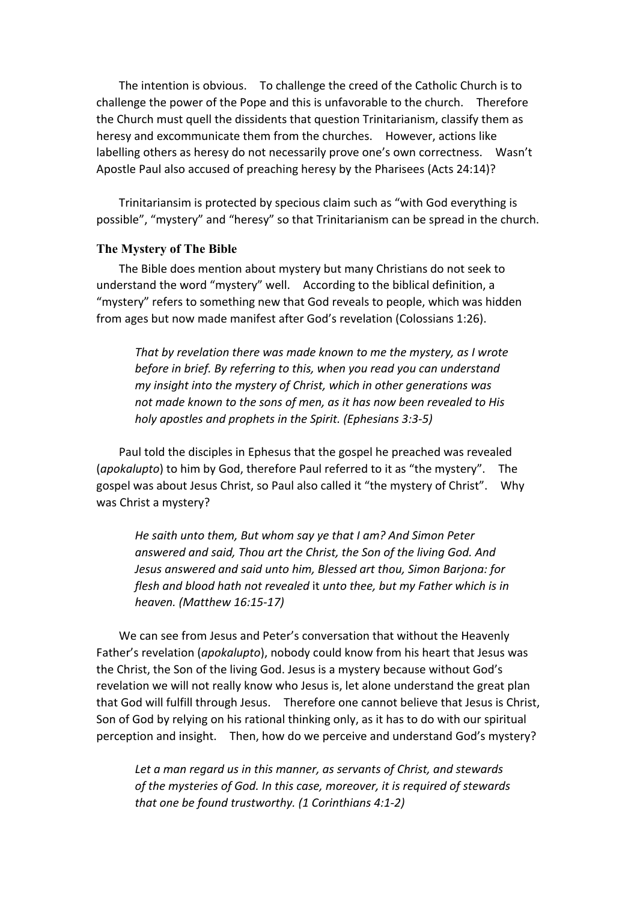The intention is obvious. To challenge the creed of the Catholic Church is to challenge the power of the Pope and this is unfavorable to the church. Therefore the Church must quell the dissidents that question Trinitarianism, classify them as heresy and excommunicate them from the churches. However, actions like labelling others as heresy do not necessarily prove one's own correctness. Wasn't Apostle Paul also accused of preaching heresy by the Pharisees (Acts 24:14)?

Trinitariansim is protected by specious claim such as "with God everything is possible", "mystery" and "heresy" so that Trinitarianism can be spread in the church.

## **The Mystery of The Bible**

The Bible does mention about mystery but many Christians do not seek to understand the word "mystery" well. According to the biblical definition, a "mystery" refers to something new that God reveals to people, which was hidden from ages but now made manifest after God's revelation (Colossians 1:26).

That by revelation there was made known to me the mystery, as I wrote *before in brief.* By referring to this, when you read you can understand *my* insight into the mystery of Christ, which in other generations was not made known to the sons of men, as it has now been revealed to His *holy apostles and prophets in the Spirit. (Ephesians 3:3-5)*

Paul told the disciples in Ephesus that the gospel he preached was revealed (*apokalupto*) to him by God, therefore Paul referred to it as "the mystery". The gospel was about Jesus Christ, so Paul also called it "the mystery of Christ". Why was Christ a mystery?

*He saith unto them, But whom say ye that I am? And Simon Peter* answered and said, Thou art the Christ, the Son of the living God. And *Jesus answered and said unto him, Blessed art thou, Simon Barjona: for flesh and blood hath not revealed* it *unto thee, but my Father which is in heaven. (Matthew 16:15-17)*

We can see from Jesus and Peter's conversation that without the Heavenly Father's revelation (*apokalupto*), nobody could know from his heart that Jesus was the Christ, the Son of the living God. Jesus is a mystery because without God's revelation we will not really know who Jesus is, let alone understand the great plan that God will fulfill through Jesus. Therefore one cannot believe that Jesus is Christ, Son of God by relying on his rational thinking only, as it has to do with our spiritual perception and insight. Then, how do we perceive and understand God's mystery?

Let a man regard us in this manner, as servants of Christ, and stewards *of the mysteries of God. In this case, moreover, it is required of stewards that one be found trustworthy. (1 Corinthians 4:1-2)*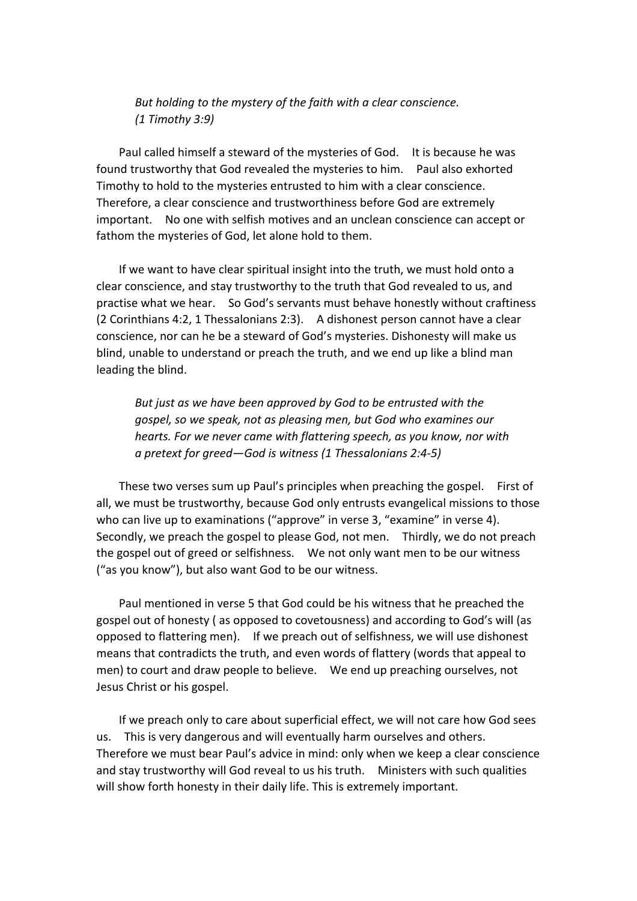But holding to the mystery of the faith with a clear conscience. *(1 Timothy 3:9)*

Paul called himself a steward of the mysteries of God. It is because he was found trustworthy that God revealed the mysteries to him. Paul also exhorted Timothy to hold to the mysteries entrusted to him with a clear conscience. Therefore, a clear conscience and trustworthiness before God are extremely important. No one with selfish motives and an unclean conscience can accept or fathom the mysteries of God, let alone hold to them.

If we want to have clear spiritual insight into the truth, we must hold onto a clear conscience, and stay trustworthy to the truth that God revealed to us, and practise what we hear. So God's servants must behave honestly without craftiness (2 Corinthians 4:2, 1 Thessalonians 2:3). A dishonest person cannot have a clear conscience, nor can he be a steward of God's mysteries. Dishonesty will make us blind, unable to understand or preach the truth, and we end up like a blind man leading the blind.

But just as we have been approved by God to be entrusted with the *gospel, so we speak, not as pleasing men, but God who examines our hearts.* For we never came with flattering speech, as you know, nor with *a pretext for greed—God is witness (1 Thessalonians 2:4-5)*

These two verses sum up Paul's principles when preaching the gospel. First of all, we must be trustworthy, because God only entrusts evangelical missions to those who can live up to examinations ("approve" in verse 3, "examine" in verse 4). Secondly, we preach the gospel to please God, not men. Thirdly, we do not preach the gospel out of greed or selfishness. We not only want men to be our witness ("as you know"), but also want God to be our witness.

Paul mentioned in verse 5 that God could be his witness that he preached the gospel out of honesty (as opposed to covetousness) and according to God's will (as opposed to flattering men). If we preach out of selfishness, we will use dishonest means that contradicts the truth, and even words of flattery (words that appeal to men) to court and draw people to believe. We end up preaching ourselves, not Jesus Christ or his gospel.

If we preach only to care about superficial effect, we will not care how God sees us. This is very dangerous and will eventually harm ourselves and others. Therefore we must bear Paul's advice in mind: only when we keep a clear conscience and stay trustworthy will God reveal to us his truth. Ministers with such qualities will show forth honesty in their daily life. This is extremely important.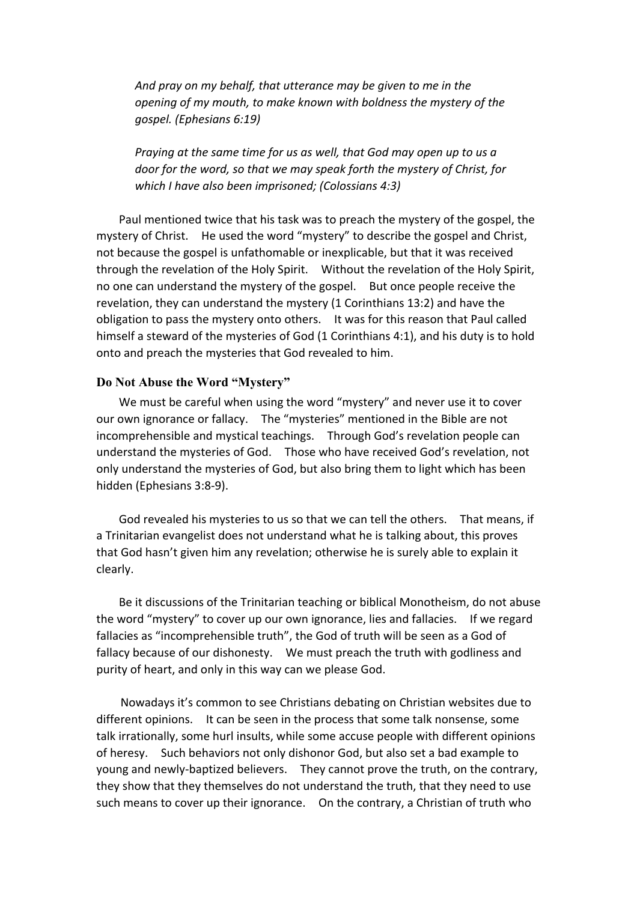And pray on my behalf, that utterance may be given to me in the *opening of my mouth, to make known with boldness the mystery of the gospel. (Ephesians 6:19)*

*Praying at the same time for us as well, that God may open up to us a door for the word, so that we may speak forth the mystery of Christ, for which I have also been imprisoned; (Colossians 4:3)* 

Paul mentioned twice that his task was to preach the mystery of the gospel, the mystery of Christ. He used the word "mystery" to describe the gospel and Christ, not because the gospel is unfathomable or inexplicable, but that it was received through the revelation of the Holy Spirit. Without the revelation of the Holy Spirit, no one can understand the mystery of the gospel. But once people receive the revelation, they can understand the mystery (1 Corinthians 13:2) and have the obligation to pass the mystery onto others. It was for this reason that Paul called himself a steward of the mysteries of God (1 Corinthians 4:1), and his duty is to hold onto and preach the mysteries that God revealed to him.

## **Do Not Abuse the Word "Mystery"**

We must be careful when using the word "mystery" and never use it to cover our own ignorance or fallacy. The "mysteries" mentioned in the Bible are not incomprehensible and mystical teachings. Through God's revelation people can understand the mysteries of God. Those who have received God's revelation, not only understand the mysteries of God, but also bring them to light which has been hidden (Ephesians 3:8-9).

God revealed his mysteries to us so that we can tell the others. That means, if a Trinitarian evangelist does not understand what he is talking about, this proves that God hasn't given him any revelation; otherwise he is surely able to explain it clearly.

Be it discussions of the Trinitarian teaching or biblical Monotheism, do not abuse the word "mystery" to cover up our own ignorance, lies and fallacies. If we regard fallacies as "incomprehensible truth", the God of truth will be seen as a God of fallacy because of our dishonesty. We must preach the truth with godliness and purity of heart, and only in this way can we please God.

Nowadays it's common to see Christians debating on Christian websites due to different opinions. It can be seen in the process that some talk nonsense, some talk irrationally, some hurl insults, while some accuse people with different opinions of heresy. Such behaviors not only dishonor God, but also set a bad example to young and newly-baptized believers. They cannot prove the truth, on the contrary, they show that they themselves do not understand the truth, that they need to use such means to cover up their ignorance. On the contrary, a Christian of truth who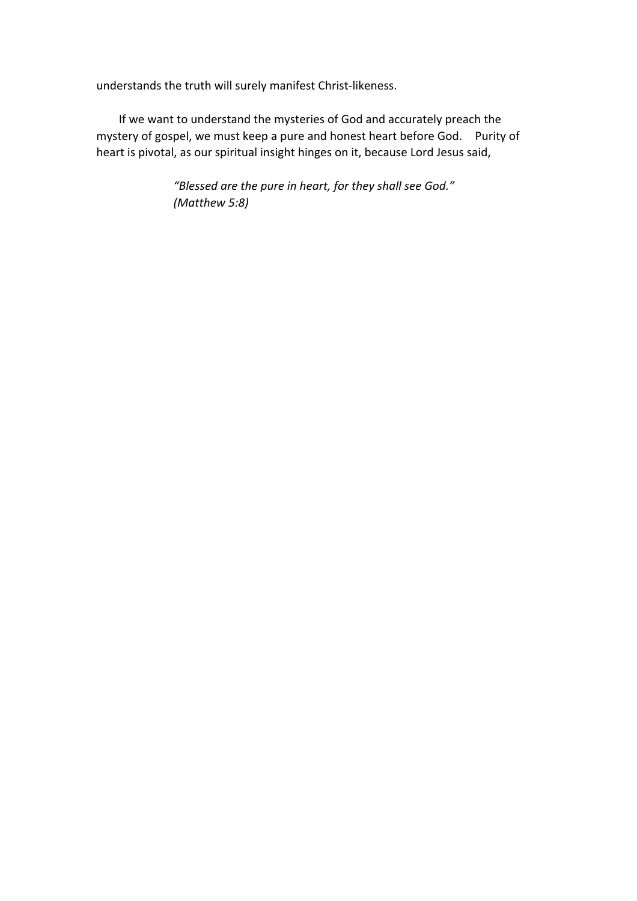understands the truth will surely manifest Christ-likeness.

If we want to understand the mysteries of God and accurately preach the mystery of gospel, we must keep a pure and honest heart before God. Purity of heart is pivotal, as our spiritual insight hinges on it, because Lord Jesus said,

> "Blessed are the pure in heart, for they shall see God." *(Matthew 5:8)*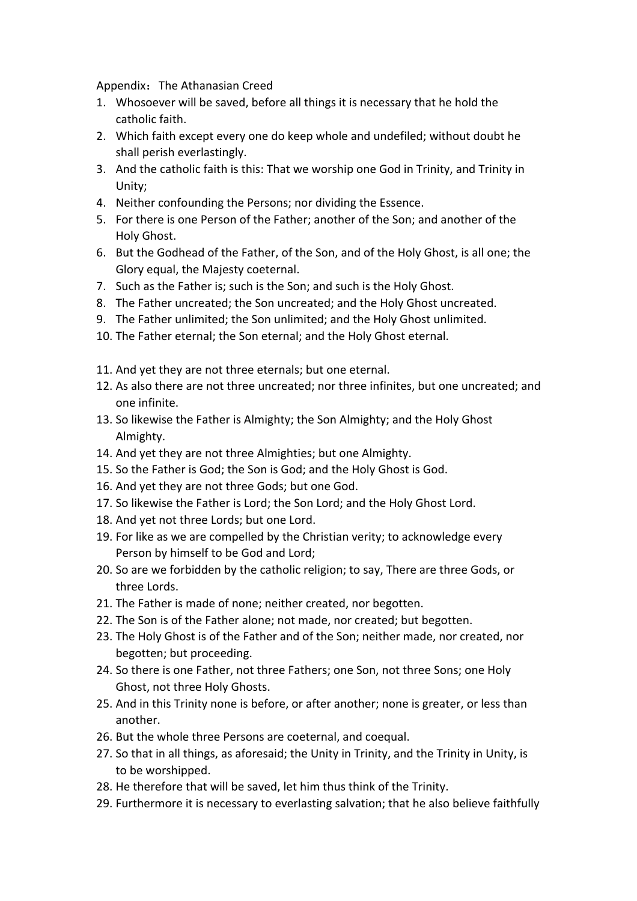Appendix: The Athanasian Creed

- 1. Whosoever will be saved, before all things it is necessary that he hold the catholic faith.
- 2. Which faith except every one do keep whole and undefiled; without doubt he shall perish everlastingly.
- 3. And the catholic faith is this: That we worship one God in Trinity, and Trinity in Unity;
- 4. Neither confounding the Persons; nor dividing the Essence.
- 5. For there is one Person of the Father; another of the Son; and another of the Holy Ghost.
- 6. But the Godhead of the Father, of the Son, and of the Holy Ghost, is all one; the Glory equal, the Majesty coeternal.
- 7. Such as the Father is; such is the Son; and such is the Holy Ghost.
- 8. The Father uncreated; the Son uncreated; and the Holy Ghost uncreated.
- 9. The Father unlimited; the Son unlimited; and the Holy Ghost unlimited.
- 10. The Father eternal; the Son eternal; and the Holy Ghost eternal.
- 11. And yet they are not three eternals; but one eternal.
- 12. As also there are not three uncreated; nor three infinites, but one uncreated; and one infinite.
- 13. So likewise the Father is Almighty; the Son Almighty; and the Holy Ghost Almighty.
- 14. And yet they are not three Almighties; but one Almighty.
- 15. So the Father is God; the Son is God; and the Holy Ghost is God.
- 16. And yet they are not three Gods; but one God.
- 17. So likewise the Father is Lord; the Son Lord; and the Holy Ghost Lord.
- 18. And yet not three Lords; but one Lord.
- 19. For like as we are compelled by the Christian verity; to acknowledge every Person by himself to be God and Lord;
- 20. So are we forbidden by the catholic religion; to say, There are three Gods, or three Lords.
- 21. The Father is made of none; neither created, nor begotten.
- 22. The Son is of the Father alone; not made, nor created; but begotten.
- 23. The Holy Ghost is of the Father and of the Son; neither made, nor created, nor begotten; but proceeding.
- 24. So there is one Father, not three Fathers; one Son, not three Sons; one Holy Ghost, not three Holy Ghosts.
- 25. And in this Trinity none is before, or after another; none is greater, or less than another.
- 26. But the whole three Persons are coeternal, and coequal.
- 27. So that in all things, as aforesaid; the Unity in Trinity, and the Trinity in Unity, is to be worshipped.
- 28. He therefore that will be saved, let him thus think of the Trinity.
- 29. Furthermore it is necessary to everlasting salvation; that he also believe faithfully